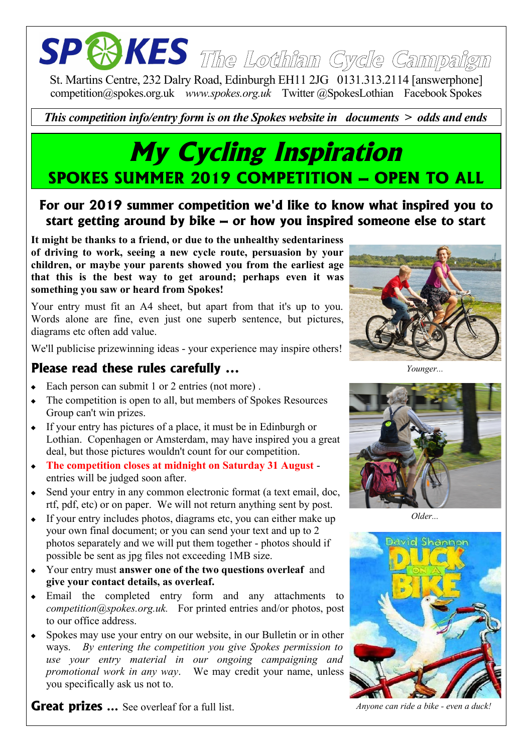# **The Lothian Cycle Campaign**

St. Martins Centre, 232 Dalry Road, Edinburgh EH11 2JG 0131.313.2114 [answerphone] competition@spokes.org.uk *www.spokes.org.uk* Twitter @SpokesLothian Facebook Spokes

*This competition info/entry form is on the Spokes website in documents > odds and ends*

### **My Cycling Inspiration SPOKES SUMMER 2019 COMPETITION – OPEN TO ALL**

#### **For our 2019 summer competition we'd like to know what inspired you to start getting around by bike – or how you inspired someone else to start**

**It might be thanks to a friend, or due to the unhealthy sedentariness of driving to work, seeing a new cycle route, persuasion by your children, or maybe your parents showed you from the earliest age that this is the best way to get around; perhaps even it was something you saw or heard from Spokes!**

Your entry must fit an A4 sheet, but apart from that it's up to you. Words alone are fine, even just one superb sentence, but pictures, diagrams etc often add value.

We'll publicise prizewinning ideas - your experience may inspire others!

#### **Please read these rules carefully ...**

- Each person can submit 1 or 2 entries (not more) .
- The competition is open to all, but members of Spokes Resources Group can't win prizes.
- If your entry has pictures of a place, it must be in Edinburgh or Lothian. Copenhagen or Amsterdam, may have inspired you a great deal, but those pictures wouldn't count for our competition.
- **The competition closes at midnight on Saturday 31 August** entries will be judged soon after.
- Send your entry in any common electronic format (a text email, doc, rtf, pdf, etc) or on paper. We will not return anything sent by post.
- If your entry includes photos, diagrams etc, you can either make up your own final document; or you can send your text and up to 2 photos separately and we will put them together - photos should if possible be sent as jpg files not exceeding 1MB size.
- Your entry must **answer one of the two questions overleaf** and **give your contact details, as overleaf.**
- Email the completed entry form and any attachments to *competition@spokes.org.uk.* For printed entries and/or photos, post to our office address.
- Spokes may use your entry on our website, in our Bulletin or in other ways. *By entering the competition you give Spokes permission to use your entry material in our ongoing campaigning and promotional work in any way*. We may credit your name, unless you specifically ask us not to.

**Great prizes** ... See overleaf for a full list. *Anyone can ride a bike - even a duck!* 

*Younger...*



*Older...*